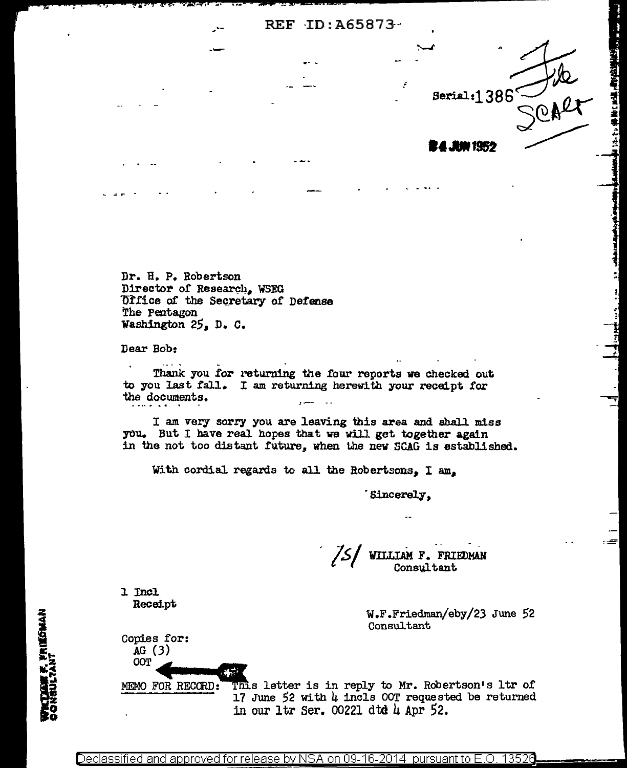REF ID: A65873

Dr. H. P. Robertson Director of Research, WSEG Office of the Secretary of Defense The Pentagon Washington 25, D. C.

Dear Bob:

Thank you for returning the four reports we checked out to you last fall. I am returning herewith your receipt for the documents.  $\overline{a}$ 

I am very sorry you are leaving this area and shall miss you. But I have real hopes that we will get together again in the not too distant future, when the new SCAG is established.

With cordial regards to all the Robertsons. I am.

Sincerely,

75) WILLIAM F. FRIEDMAN Consultant

1 Incl Receipt

Copies for:  $AG(3)$ OOT MEMO FOR RECORD: W.F.Friedman/eby/23 June 52 Consultant

rike

Serial: $1386<sup>°</sup>$ 

**4 JUN 1952** 

有名な場で 暗でき ご 星を きょうせい

 $=$ 

This letter is in reply to Mr. Robertson's ltr of 17 June 52 with  $\mu$  incls OOT requested be returned in our ltr Ser. 00221 dtd 4 Apr 52.

WRITAN F. FRIEDMAN<br>CONSULTANT